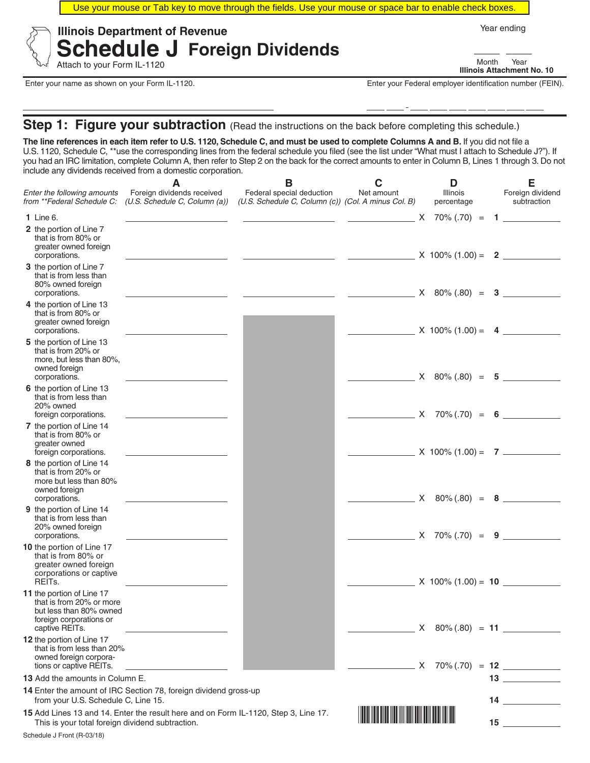Use your mouse or Tab key to move through the fields. Use your mouse or space bar to enable check boxes.



**Schedule J Foreign Dividends** Attach to your Form IL-1120

Year ending

**Illinois Attachment No. 10** \_\_\_\_ \_\_\_\_ Month Year

Enter your name as shown on your Form IL-1120. Enter your Federal employer identification number (FEIN).

**Step 1: Figure your subtraction** (Read the instructions on the back before completing this schedule.)

**The line references in each item refer to U.S. 1120, Schedule C, and must be used to complete Columns A and B.** If you did not file a U.S. 1120, Schedule C, \*\*use the corresponding lines from the federal schedule you filed (see the list under "What must I attach to Schedule J?"). If you had an IRC limitation, complete Column A, then refer to Step 2 on the back for the correct amounts to enter in Column B, Lines 1 through 3. Do not include any dividends received from a domestic corporation.

|                                                                                                                               | A                                                                                   | В                                                                                                                                                                                                                                                                                                                                                                                                                                                                                                     | C                              | D                      | Е                                      |
|-------------------------------------------------------------------------------------------------------------------------------|-------------------------------------------------------------------------------------|-------------------------------------------------------------------------------------------------------------------------------------------------------------------------------------------------------------------------------------------------------------------------------------------------------------------------------------------------------------------------------------------------------------------------------------------------------------------------------------------------------|--------------------------------|------------------------|----------------------------------------|
| Enter the following amounts<br>from **Federal Schedule C:                                                                     | Foreign dividends received<br>(U.S. Schedule C, Column (a))                         | Federal special deduction<br>(U.S. Schedule C, Column (c)) (Col. A minus Col. B)                                                                                                                                                                                                                                                                                                                                                                                                                      | Net amount                     | Illinois<br>percentage | Foreign dividend<br>subtraction        |
| 1 Line 6.                                                                                                                     |                                                                                     | $\begin{array}{ccccccccc} \hline \text{---} & \text{---} & \text{---} & \text{---} & \text{---} & \text{---} & \text{---} & \text{---} & \text{---} & \text{---} & \text{---} & \text{---} & \text{---} & \text{---} & \text{---} & \text{---} & \text{---} & \text{---} & \text{---} & \text{---} & \text{---} & \text{---} & \text{---} & \text{---} & \text{---} & \text{---} & \text{---} & \text{---} & \text{---} & \text{---} & \text{---} & \text{---} & \text{---} & \text{---} & \text{---$ |                                |                        |                                        |
| 2 the portion of Line 7<br>that is from 80% or<br>greater owned foreign<br>corporations.                                      | the control of the control of the                                                   | $\frac{1}{2}$ $\frac{1}{2}$ $\frac{1}{2}$ $\frac{1}{2}$ $\frac{1}{2}$ $\frac{1}{2}$ $\frac{1}{2}$ $\frac{1}{2}$ $\frac{1}{2}$ $\frac{1}{2}$ $\frac{1}{2}$ $\frac{1}{2}$ $\frac{1}{2}$ $\frac{1}{2}$ $\frac{1}{2}$ $\frac{1}{2}$ $\frac{1}{2}$ $\frac{1}{2}$ $\frac{1}{2}$ $\frac{1}{2}$ $\frac{1}{2}$ $\frac{1}{2}$                                                                                                                                                                                   |                                |                        |                                        |
| 3 the portion of Line 7<br>that is from less than<br>80% owned foreign<br>corporations.                                       | <u> 1989 - Johann Barbara, martin a</u>                                             | $\begin{array}{ccccccccccccccccc} & & & & & & & \end{array}$ $\begin{array}{ccccccccccccc} & & & & & \end{array}$ $\begin{array}{ccccccccccccc} & & & & \end{array}$ $\begin{array}{ccccccccccccc} & & & & \end{array}$ $\begin{array}{ccccccccccccc} & & & & \end{array}$ $\begin{array}{ccccccccccccc} & & & & \end{array}$ $\begin{array}{ccccccccccccc} & & & & \end{array}$                                                                                                                      |                                |                        |                                        |
| 4 the portion of Line 13<br>that is from 80% or<br>greater owned foreign<br>corporations.                                     |                                                                                     |                                                                                                                                                                                                                                                                                                                                                                                                                                                                                                       | $X 100\% (1.00) = 4$           |                        |                                        |
| 5 the portion of Line 13<br>that is from 20% or<br>more, but less than 80%,<br>owned foreign<br>corporations.                 |                                                                                     |                                                                                                                                                                                                                                                                                                                                                                                                                                                                                                       |                                |                        | $X = 80\% (0.80) = 5$                  |
| 6 the portion of Line 13<br>that is from less than<br>20% owned<br>foreign corporations.                                      | <u> 1989 - Johann Barn, mars ann an t-San A</u>                                     |                                                                                                                                                                                                                                                                                                                                                                                                                                                                                                       |                                |                        | $X \quad 70\% \,(.70) \quad = \quad 6$ |
| 7 the portion of Line 14<br>that is from 80% or<br>greater owned<br>foreign corporations.                                     |                                                                                     |                                                                                                                                                                                                                                                                                                                                                                                                                                                                                                       |                                |                        | $X = 100\% (1.00) = 7$                 |
| 8 the portion of Line 14<br>that is from 20% or<br>more but less than 80%<br>owned foreign<br>corporations.                   |                                                                                     |                                                                                                                                                                                                                                                                                                                                                                                                                                                                                                       |                                |                        | $X$ 80% (.80) = <b>8</b>               |
| 9 the portion of Line 14<br>that is from less than<br>20% owned foreign<br>corporations.                                      |                                                                                     |                                                                                                                                                                                                                                                                                                                                                                                                                                                                                                       |                                |                        | $X$ 70% (.70) = <b>9</b>               |
| 10 the portion of Line 17<br>that is from 80% or<br>greater owned foreign<br>corporations or captive<br>REIT <sub>s</sub> .   |                                                                                     |                                                                                                                                                                                                                                                                                                                                                                                                                                                                                                       |                                |                        | $X$ 100% (1.00) = 10                   |
| 11 the portion of Line 17<br>that is from 20% or more<br>but less than 80% owned<br>foreign corporations or<br>captive REITs. |                                                                                     |                                                                                                                                                                                                                                                                                                                                                                                                                                                                                                       |                                |                        | $X$ 80% (.80) = 11                     |
| 12 the portion of Line 17<br>that is from less than 20%<br>owned foreign corpora-<br>tions or captive REITs.                  |                                                                                     |                                                                                                                                                                                                                                                                                                                                                                                                                                                                                                       |                                |                        |                                        |
| 13 Add the amounts in Column E.                                                                                               |                                                                                     |                                                                                                                                                                                                                                                                                                                                                                                                                                                                                                       |                                |                        |                                        |
| from your U.S. Schedule C, Line 15.                                                                                           | 14 Enter the amount of IRC Section 78, foreign dividend gross-up                    |                                                                                                                                                                                                                                                                                                                                                                                                                                                                                                       |                                |                        | $14 \underline{\hspace{1cm}}$          |
| This is your total foreign dividend subtraction.                                                                              | 15 Add Lines 13 and 14. Enter the result here and on Form IL-1120, Step 3, Line 17. |                                                                                                                                                                                                                                                                                                                                                                                                                                                                                                       | <u> Hillingin kanalikan ka</u> |                        |                                        |
| Schedule J Front (R-03/18)                                                                                                    |                                                                                     |                                                                                                                                                                                                                                                                                                                                                                                                                                                                                                       |                                |                        |                                        |